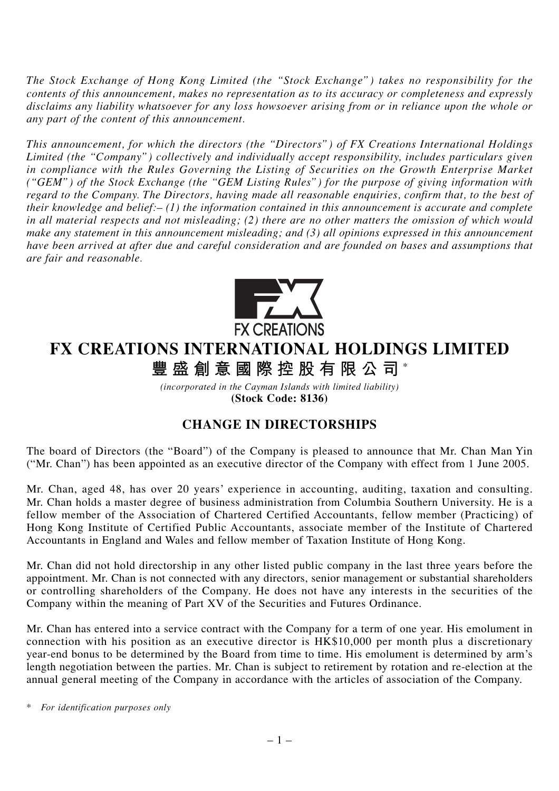*The Stock Exchange of Hong Kong Limited (the "Stock Exchange") takes no responsibility for the contents of this announcement, makes no representation as to its accuracy or completeness and expressly disclaims any liability whatsoever for any loss howsoever arising from or in reliance upon the whole or any part of the content of this announcement.*

*This announcement, for which the directors (the "Directors") of FX Creations International Holdings Limited (the "Company") collectively and individually accept responsibility, includes particulars given in compliance with the Rules Governing the Listing of Securities on the Growth Enterprise Market ("GEM") of the Stock Exchange (the "GEM Listing Rules") for the purpose of giving information with regard to the Company. The Directors, having made all reasonable enquiries, confirm that, to the best of their knowledge and belief:– (1) the information contained in this announcement is accurate and complete in all material respects and not misleading; (2) there are no other matters the omission of which would* make any statement in this announcement misleading; and (3) all opinions expressed in this announcement *have been arrived at after due and careful consideration and are founded on bases and assumptions that are fair and reasonable.*



## **FX CREATIONS INTERNATIONAL HOLDINGS LIMITED**

**豐盛創意國際控股有限公司** \*

*(incorporated in the Cayman Islands with limited liability)* **(Stock Code: 8136)**

## **CHANGE IN DIRECTORSHIPS**

The board of Directors (the "Board") of the Company is pleased to announce that Mr. Chan Man Yin ("Mr. Chan") has been appointed as an executive director of the Company with effect from 1 June 2005.

Mr. Chan, aged 48, has over 20 years' experience in accounting, auditing, taxation and consulting. Mr. Chan holds a master degree of business administration from Columbia Southern University. He is a fellow member of the Association of Chartered Certified Accountants, fellow member (Practicing) of Hong Kong Institute of Certified Public Accountants, associate member of the Institute of Chartered Accountants in England and Wales and fellow member of Taxation Institute of Hong Kong.

Mr. Chan did not hold directorship in any other listed public company in the last three years before the appointment. Mr. Chan is not connected with any directors, senior management or substantial shareholders or controlling shareholders of the Company. He does not have any interests in the securities of the Company within the meaning of Part XV of the Securities and Futures Ordinance.

Mr. Chan has entered into a service contract with the Company for a term of one year. His emolument in connection with his position as an executive director is HK\$10,000 per month plus a discretionary year-end bonus to be determined by the Board from time to time. His emolument is determined by arm's length negotiation between the parties. Mr. Chan is subject to retirement by rotation and re-election at the annual general meeting of the Company in accordance with the articles of association of the Company.

*\* For identification purposes only*